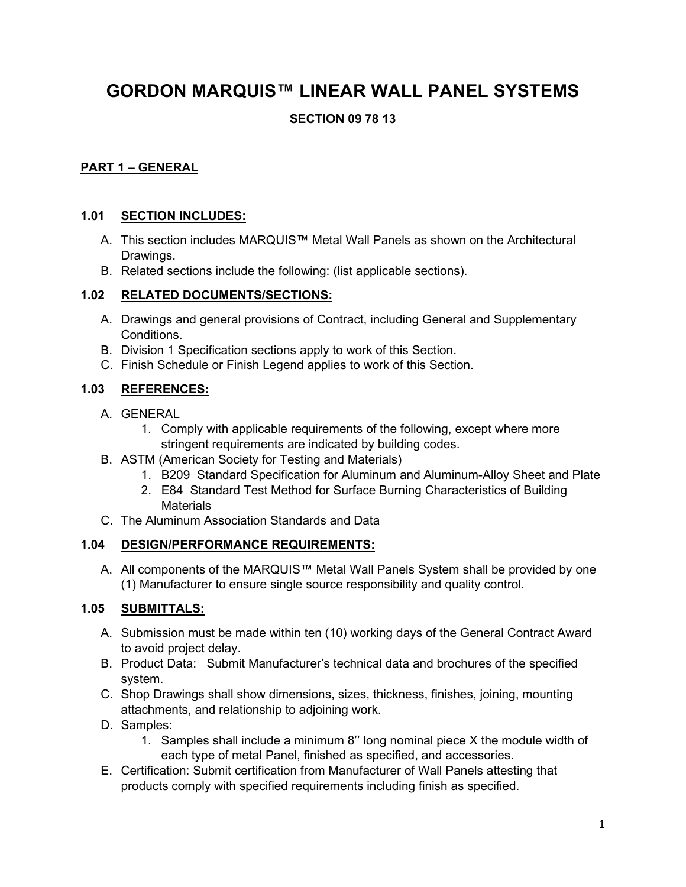# **GORDON MARQUIS™ LINEAR WALL PANEL SYSTEMS**

# **SECTION 09 78 13**

## **PART 1 – GENERAL**

#### **1.01 SECTION INCLUDES:**

- A. This section includes MARQUIS™ Metal Wall Panels as shown on the Architectural Drawings.
- B. Related sections include the following: (list applicable sections).

#### **1.02 RELATED DOCUMENTS/SECTIONS:**

- A. Drawings and general provisions of Contract, including General and Supplementary Conditions.
- B. Division 1 Specification sections apply to work of this Section.
- C. Finish Schedule or Finish Legend applies to work of this Section.

## **1.03 REFERENCES:**

- A. GENERAL
	- 1. Comply with applicable requirements of the following, except where more stringent requirements are indicated by building codes.
- B. ASTM (American Society for Testing and Materials)
	- 1. B209 Standard Specification for Aluminum and Aluminum-Alloy Sheet and Plate
	- 2. E84 Standard Test Method for Surface Burning Characteristics of Building **Materials**
- C. The Aluminum Association Standards and Data

#### **1.04 DESIGN/PERFORMANCE REQUIREMENTS:**

A. All components of the MARQUIS™ Metal Wall Panels System shall be provided by one (1) Manufacturer to ensure single source responsibility and quality control.

#### **1.05 SUBMITTALS:**

- A. Submission must be made within ten (10) working days of the General Contract Award to avoid project delay.
- B. Product Data: Submit Manufacturer's technical data and brochures of the specified system.
- C. Shop Drawings shall show dimensions, sizes, thickness, finishes, joining, mounting attachments, and relationship to adjoining work.
- D. Samples:
	- 1. Samples shall include a minimum 8'' long nominal piece X the module width of each type of metal Panel, finished as specified, and accessories.
- E. Certification: Submit certification from Manufacturer of Wall Panels attesting that products comply with specified requirements including finish as specified.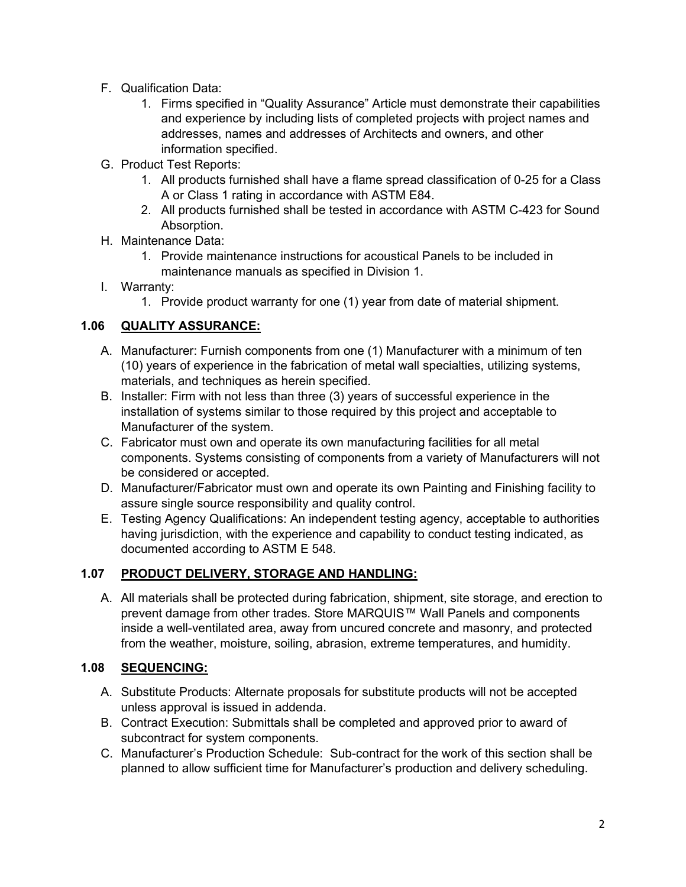- F. Qualification Data:
	- 1. Firms specified in "Quality Assurance" Article must demonstrate their capabilities and experience by including lists of completed projects with project names and addresses, names and addresses of Architects and owners, and other information specified.
- G. Product Test Reports:
	- 1. All products furnished shall have a flame spread classification of 0-25 for a Class A or Class 1 rating in accordance with ASTM E84.
	- 2. All products furnished shall be tested in accordance with ASTM C-423 for Sound Absorption.
- H. Maintenance Data:
	- 1. Provide maintenance instructions for acoustical Panels to be included in maintenance manuals as specified in Division 1.
- I. Warranty:
	- 1. Provide product warranty for one (1) year from date of material shipment.

## **1.06 QUALITY ASSURANCE:**

- A. Manufacturer: Furnish components from one (1) Manufacturer with a minimum of ten (10) years of experience in the fabrication of metal wall specialties, utilizing systems, materials, and techniques as herein specified.
- B. Installer: Firm with not less than three (3) years of successful experience in the installation of systems similar to those required by this project and acceptable to Manufacturer of the system.
- C. Fabricator must own and operate its own manufacturing facilities for all metal components. Systems consisting of components from a variety of Manufacturers will not be considered or accepted.
- D. Manufacturer/Fabricator must own and operate its own Painting and Finishing facility to assure single source responsibility and quality control.
- E. Testing Agency Qualifications: An independent testing agency, acceptable to authorities having jurisdiction, with the experience and capability to conduct testing indicated, as documented according to ASTM E 548.

#### **1.07 PRODUCT DELIVERY, STORAGE AND HANDLING:**

A. All materials shall be protected during fabrication, shipment, site storage, and erection to prevent damage from other trades. Store MARQUIS™ Wall Panels and components inside a well-ventilated area, away from uncured concrete and masonry, and protected from the weather, moisture, soiling, abrasion, extreme temperatures, and humidity.

#### **1.08 SEQUENCING:**

- A. Substitute Products: Alternate proposals for substitute products will not be accepted unless approval is issued in addenda.
- B. Contract Execution: Submittals shall be completed and approved prior to award of subcontract for system components.
- C. Manufacturer's Production Schedule: Sub-contract for the work of this section shall be planned to allow sufficient time for Manufacturer's production and delivery scheduling.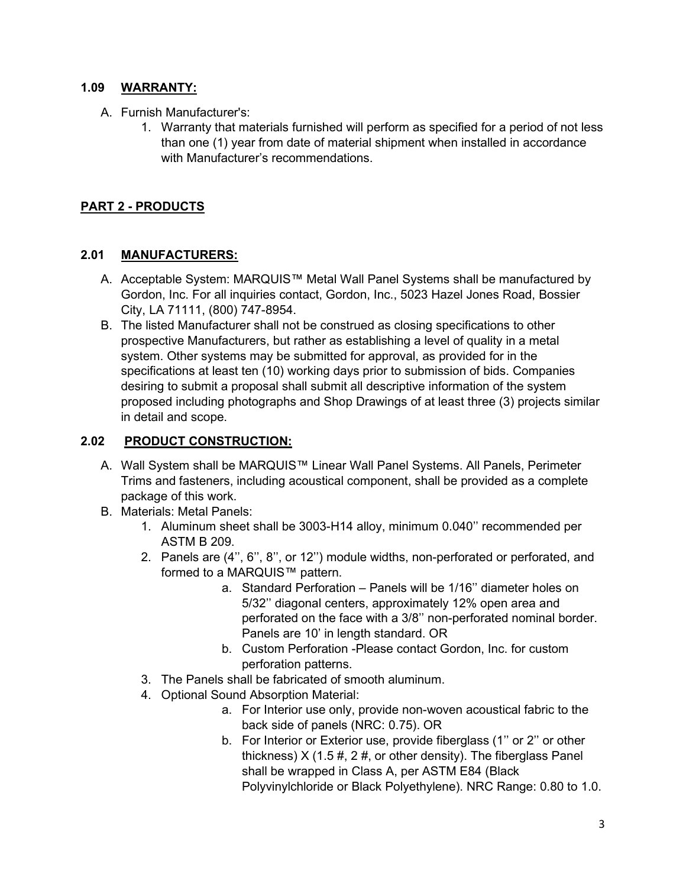#### **1.09 WARRANTY:**

- A. Furnish Manufacturer's:
	- 1. Warranty that materials furnished will perform as specified for a period of not less than one (1) year from date of material shipment when installed in accordance with Manufacturer's recommendations.

# **PART 2 - PRODUCTS**

#### **2.01 MANUFACTURERS:**

- A. Acceptable System: MARQUIS™ Metal Wall Panel Systems shall be manufactured by Gordon, Inc. For all inquiries contact, Gordon, Inc., 5023 Hazel Jones Road, Bossier City, LA 71111, (800) 747-8954.
- B. The listed Manufacturer shall not be construed as closing specifications to other prospective Manufacturers, but rather as establishing a level of quality in a metal system. Other systems may be submitted for approval, as provided for in the specifications at least ten (10) working days prior to submission of bids. Companies desiring to submit a proposal shall submit all descriptive information of the system proposed including photographs and Shop Drawings of at least three (3) projects similar in detail and scope.

#### **2.02 PRODUCT CONSTRUCTION:**

- A. Wall System shall be MARQUIS™ Linear Wall Panel Systems. All Panels, Perimeter Trims and fasteners, including acoustical component, shall be provided as a complete package of this work.
- B. Materials: Metal Panels:
	- 1. Aluminum sheet shall be 3003-H14 alloy, minimum 0.040'' recommended per ASTM B 209.
	- 2. Panels are (4'', 6'', 8'', or 12'') module widths, non-perforated or perforated, and formed to a MARQUIS™ pattern.
		- a. Standard Perforation Panels will be 1/16'' diameter holes on 5/32'' diagonal centers, approximately 12% open area and perforated on the face with a 3/8'' non-perforated nominal border. Panels are 10' in length standard. OR
		- b. Custom Perforation -Please contact Gordon, Inc. for custom perforation patterns.
	- 3. The Panels shall be fabricated of smooth aluminum.
	- 4. Optional Sound Absorption Material:
		- a. For Interior use only, provide non-woven acoustical fabric to the back side of panels (NRC: 0.75). OR
		- b. For Interior or Exterior use, provide fiberglass (1'' or 2'' or other thickness)  $X$  (1.5 #, 2 #, or other density). The fiberglass Panel shall be wrapped in Class A, per ASTM E84 (Black Polyvinylchloride or Black Polyethylene). NRC Range: 0.80 to 1.0.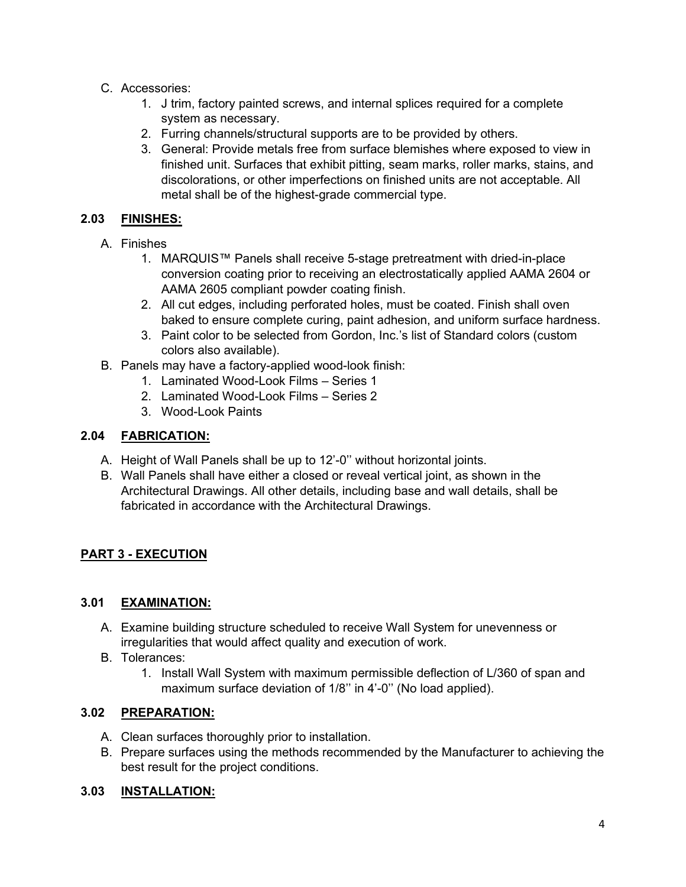- C. Accessories:
	- 1. J trim, factory painted screws, and internal splices required for a complete system as necessary.
	- 2. Furring channels/structural supports are to be provided by others.
	- 3. General: Provide metals free from surface blemishes where exposed to view in finished unit. Surfaces that exhibit pitting, seam marks, roller marks, stains, and discolorations, or other imperfections on finished units are not acceptable. All metal shall be of the highest-grade commercial type.

## **2.03 FINISHES:**

- A. Finishes
	- 1. MARQUIS™ Panels shall receive 5-stage pretreatment with dried-in-place conversion coating prior to receiving an electrostatically applied AAMA 2604 or AAMA 2605 compliant powder coating finish.
	- 2. All cut edges, including perforated holes, must be coated. Finish shall oven baked to ensure complete curing, paint adhesion, and uniform surface hardness.
	- 3. Paint color to be selected from Gordon, Inc.'s list of Standard colors (custom colors also available).
- B. Panels may have a factory-applied wood-look finish:
	- 1. Laminated Wood-Look Films Series 1
	- 2. Laminated Wood-Look Films Series 2
	- 3. Wood-Look Paints

## **2.04 FABRICATION:**

- A. Height of Wall Panels shall be up to 12'-0'' without horizontal joints.
- B. Wall Panels shall have either a closed or reveal vertical joint, as shown in the Architectural Drawings. All other details, including base and wall details, shall be fabricated in accordance with the Architectural Drawings.

# **PART 3 - EXECUTION**

#### **3.01 EXAMINATION:**

- A. Examine building structure scheduled to receive Wall System for unevenness or irregularities that would affect quality and execution of work.
- B. Tolerances:
	- 1. Install Wall System with maximum permissible deflection of L/360 of span and maximum surface deviation of 1/8" in 4'-0" (No load applied).

# **3.02 PREPARATION:**

- A. Clean surfaces thoroughly prior to installation.
- B. Prepare surfaces using the methods recommended by the Manufacturer to achieving the best result for the project conditions.

#### **3.03 INSTALLATION:**